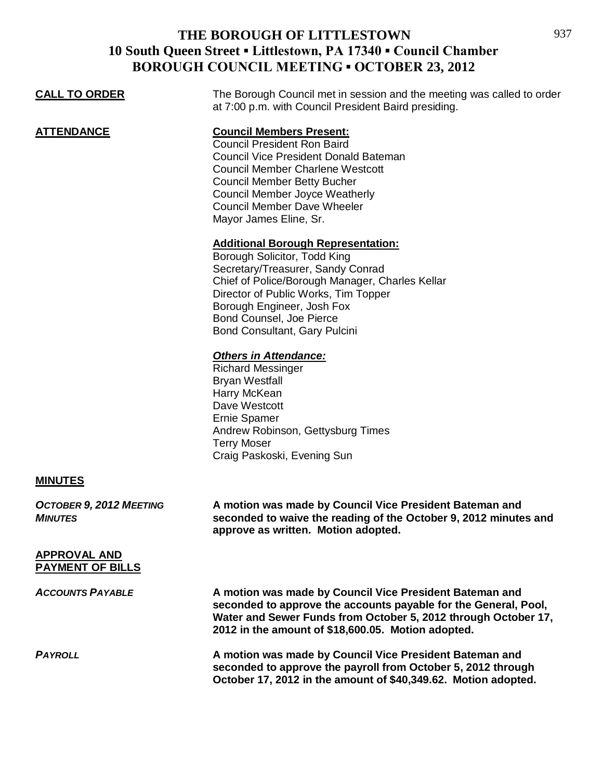| <b>CALL TO ORDER</b>                             | The Borough Council met in session and the meeting was called to order<br>at 7:00 p.m. with Council President Baird presiding.                                                                                                                                                                                  |
|--------------------------------------------------|-----------------------------------------------------------------------------------------------------------------------------------------------------------------------------------------------------------------------------------------------------------------------------------------------------------------|
| <b>ATTENDANCE</b>                                | <b>Council Members Present:</b><br><b>Council President Ron Baird</b><br><b>Council Vice President Donald Bateman</b><br><b>Council Member Charlene Westcott</b><br><b>Council Member Betty Bucher</b><br><b>Council Member Joyce Weatherly</b><br><b>Council Member Dave Wheeler</b><br>Mayor James Eline, Sr. |
|                                                  | <b>Additional Borough Representation:</b><br>Borough Solicitor, Todd King<br>Secretary/Treasurer, Sandy Conrad<br>Chief of Police/Borough Manager, Charles Kellar<br>Director of Public Works, Tim Topper<br>Borough Engineer, Josh Fox<br>Bond Counsel, Joe Pierce<br>Bond Consultant, Gary Pulcini            |
|                                                  | <b>Others in Attendance:</b><br><b>Richard Messinger</b><br><b>Bryan Westfall</b><br>Harry McKean<br>Dave Westcott<br><b>Ernie Spamer</b><br>Andrew Robinson, Gettysburg Times<br><b>Terry Moser</b><br>Craig Paskoski, Evening Sun                                                                             |
| <b>MINUTES</b>                                   |                                                                                                                                                                                                                                                                                                                 |
| <b>OCTOBER 9, 2012 MEETING</b><br><b>MINUTES</b> | A motion was made by Council Vice President Bateman and<br>seconded to waive the reading of the October 9, 2012 minutes and<br>approve as written. Motion adopted.                                                                                                                                              |
| <b>APPROVAL AND</b><br><b>PAYMENT OF BILLS</b>   |                                                                                                                                                                                                                                                                                                                 |
| <b>ACCOUNTS PAYABLE</b>                          | A motion was made by Council Vice President Bateman and<br>seconded to approve the accounts payable for the General, Pool,<br>Water and Sewer Funds from October 5, 2012 through October 17,<br>2012 in the amount of \$18,600.05. Motion adopted.                                                              |
| <b>PAYROLL</b>                                   | A motion was made by Council Vice President Bateman and<br>seconded to approve the payroll from October 5, 2012 through<br>October 17, 2012 in the amount of \$40,349.62. Motion adopted.                                                                                                                       |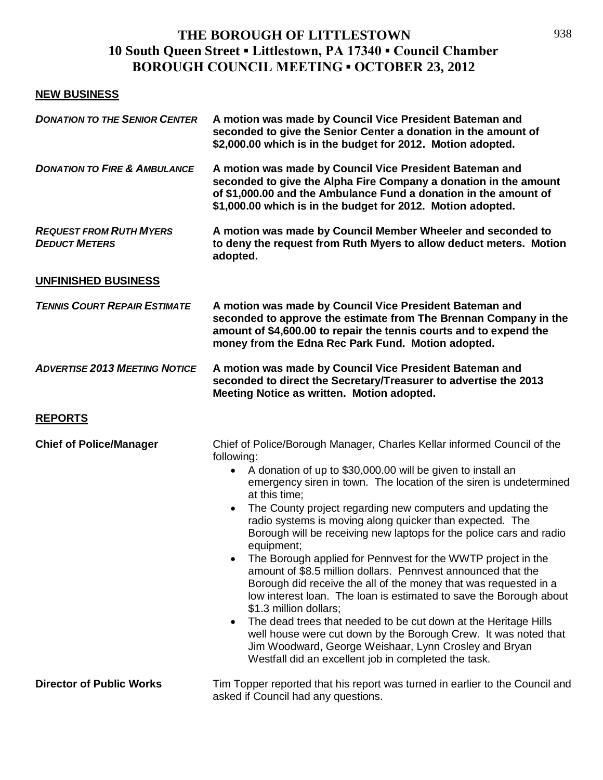## **NEW BUSINESS**

| <b>DONATION TO THE SENIOR CENTER</b>                   | A motion was made by Council Vice President Bateman and<br>seconded to give the Senior Center a donation in the amount of<br>\$2,000.00 which is in the budget for 2012. Motion adopted.                                                                                                                                                                                                                                                                                                                                                                                                                                                                                                                                                                                                                                                                                                                                                                                                                                                                      |
|--------------------------------------------------------|---------------------------------------------------------------------------------------------------------------------------------------------------------------------------------------------------------------------------------------------------------------------------------------------------------------------------------------------------------------------------------------------------------------------------------------------------------------------------------------------------------------------------------------------------------------------------------------------------------------------------------------------------------------------------------------------------------------------------------------------------------------------------------------------------------------------------------------------------------------------------------------------------------------------------------------------------------------------------------------------------------------------------------------------------------------|
| <b>DONATION TO FIRE &amp; AMBULANCE</b>                | A motion was made by Council Vice President Bateman and<br>seconded to give the Alpha Fire Company a donation in the amount<br>of \$1,000.00 and the Ambulance Fund a donation in the amount of<br>\$1,000.00 which is in the budget for 2012. Motion adopted.                                                                                                                                                                                                                                                                                                                                                                                                                                                                                                                                                                                                                                                                                                                                                                                                |
| <b>REQUEST FROM RUTH MYERS</b><br><b>DEDUCT METERS</b> | A motion was made by Council Member Wheeler and seconded to<br>to deny the request from Ruth Myers to allow deduct meters. Motion<br>adopted.                                                                                                                                                                                                                                                                                                                                                                                                                                                                                                                                                                                                                                                                                                                                                                                                                                                                                                                 |
| <b>UNFINISHED BUSINESS</b>                             |                                                                                                                                                                                                                                                                                                                                                                                                                                                                                                                                                                                                                                                                                                                                                                                                                                                                                                                                                                                                                                                               |
| <b>TENNIS COURT REPAIR ESTIMATE</b>                    | A motion was made by Council Vice President Bateman and<br>seconded to approve the estimate from The Brennan Company in the<br>amount of \$4,600.00 to repair the tennis courts and to expend the<br>money from the Edna Rec Park Fund. Motion adopted.                                                                                                                                                                                                                                                                                                                                                                                                                                                                                                                                                                                                                                                                                                                                                                                                       |
| <b>ADVERTISE 2013 MEETING NOTICE</b>                   | A motion was made by Council Vice President Bateman and<br>seconded to direct the Secretary/Treasurer to advertise the 2013<br>Meeting Notice as written. Motion adopted.                                                                                                                                                                                                                                                                                                                                                                                                                                                                                                                                                                                                                                                                                                                                                                                                                                                                                     |
| <b>REPORTS</b>                                         |                                                                                                                                                                                                                                                                                                                                                                                                                                                                                                                                                                                                                                                                                                                                                                                                                                                                                                                                                                                                                                                               |
| <b>Chief of Police/Manager</b>                         | Chief of Police/Borough Manager, Charles Kellar informed Council of the<br>following:<br>A donation of up to \$30,000.00 will be given to install an<br>$\bullet$<br>emergency siren in town. The location of the siren is undetermined<br>at this time:<br>The County project regarding new computers and updating the<br>$\bullet$<br>radio systems is moving along quicker than expected. The<br>Borough will be receiving new laptops for the police cars and radio<br>equipment;<br>The Borough applied for Pennvest for the WWTP project in the<br>amount of \$8.5 million dollars. Pennyest announced that the<br>Borough did receive the all of the money that was requested in a<br>low interest loan. The loan is estimated to save the Borough about<br>\$1.3 million dollars;<br>The dead trees that needed to be cut down at the Heritage Hills<br>$\bullet$<br>well house were cut down by the Borough Crew. It was noted that<br>Jim Woodward, George Weishaar, Lynn Crosley and Bryan<br>Westfall did an excellent job in completed the task. |
| <b>Director of Public Works</b>                        | Tim Topper reported that his report was turned in earlier to the Council and<br>asked if Council had any questions.                                                                                                                                                                                                                                                                                                                                                                                                                                                                                                                                                                                                                                                                                                                                                                                                                                                                                                                                           |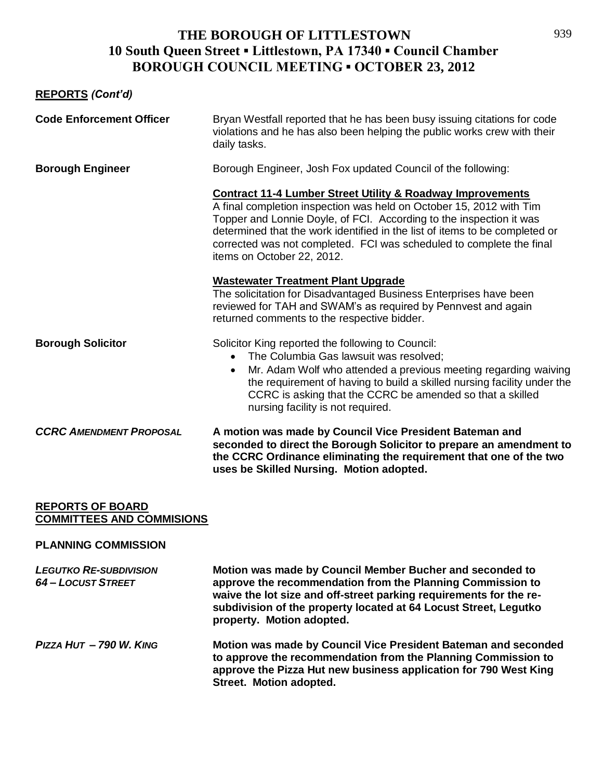## **REPORTS** *(Cont'd)*

| <b>Code Enforcement Officer</b> | Bryan Westfall reported that he has been busy issuing citations for code<br>violations and he has also been helping the public works crew with their<br>daily tasks.                                                                                                                                                                                                                                     |
|---------------------------------|----------------------------------------------------------------------------------------------------------------------------------------------------------------------------------------------------------------------------------------------------------------------------------------------------------------------------------------------------------------------------------------------------------|
| <b>Borough Engineer</b>         | Borough Engineer, Josh Fox updated Council of the following:                                                                                                                                                                                                                                                                                                                                             |
|                                 | <b>Contract 11-4 Lumber Street Utility &amp; Roadway Improvements</b><br>A final completion inspection was held on October 15, 2012 with Tim<br>Topper and Lonnie Doyle, of FCI. According to the inspection it was<br>determined that the work identified in the list of items to be completed or<br>corrected was not completed. FCI was scheduled to complete the final<br>items on October 22, 2012. |
|                                 | <b>Wastewater Treatment Plant Upgrade</b><br>The solicitation for Disadvantaged Business Enterprises have been<br>reviewed for TAH and SWAM's as required by Pennvest and again<br>returned comments to the respective bidder.                                                                                                                                                                           |
| <b>Borough Solicitor</b>        | Solicitor King reported the following to Council:<br>The Columbia Gas lawsuit was resolved;<br>$\bullet$<br>Mr. Adam Wolf who attended a previous meeting regarding waiving<br>$\bullet$<br>the requirement of having to build a skilled nursing facility under the<br>CCRC is asking that the CCRC be amended so that a skilled<br>nursing facility is not required.                                    |
| <b>CCRC AMENDMENT PROPOSAL</b>  | A motion was made by Council Vice President Bateman and<br>seconded to direct the Borough Solicitor to prepare an amendment to<br>the CCRC Ordinance eliminating the requirement that one of the two<br>uses be Skilled Nursing. Motion adopted.                                                                                                                                                         |

#### **REPORTS OF BOARD COMMITTEES AND COMMISIONS**

#### **PLANNING COMMISSION**

| <b>LEGUTKO RE-SUBDIVISION</b><br><b>64 - LOCUST STREET</b> | Motion was made by Council Member Bucher and seconded to<br>approve the recommendation from the Planning Commission to<br>waive the lot size and off-street parking requirements for the re-<br>subdivision of the property located at 64 Locust Street, Legutko<br>property. Motion adopted. |
|------------------------------------------------------------|-----------------------------------------------------------------------------------------------------------------------------------------------------------------------------------------------------------------------------------------------------------------------------------------------|
| PIZZA HUT - 790 W. KING                                    | Motion was made by Council Vice President Bateman and seconded<br>to approve the recommendation from the Planning Commission to<br>approve the Pizza Hut new business application for 790 West King<br>Street. Motion adopted.                                                                |